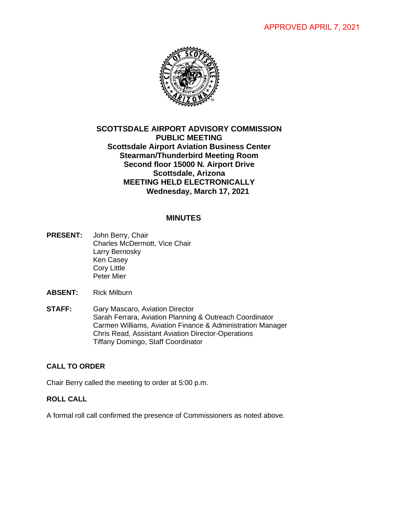

# **SCOTTSDALE AIRPORT ADVISORY COMMISSION PUBLIC MEETING Scottsdale Airport Aviation Business Center Stearman/Thunderbird Meeting Room Second floor 15000 N. Airport Drive Scottsdale, Arizona MEETING HELD ELECTRONICALLY Wednesday, March 17, 2021**

# **MINUTES**

- **PRESENT:** John Berry, Chair Charles McDermott, Vice Chair Larry Bernosky Ken Casey Cory Little Peter Mier
- **ABSENT:** Rick Milburn
- **STAFF:** Gary Mascaro, Aviation Director Sarah Ferrara, Aviation Planning & Outreach Coordinator Carmen Williams, Aviation Finance & Administration Manager Chris Read, Assistant Aviation Director-Operations Tiffany Domingo, Staff Coordinator

## **CALL TO ORDER**

Chair Berry called the meeting to order at 5:00 p.m.

# **ROLL CALL**

A formal roll call confirmed the presence of Commissioners as noted above.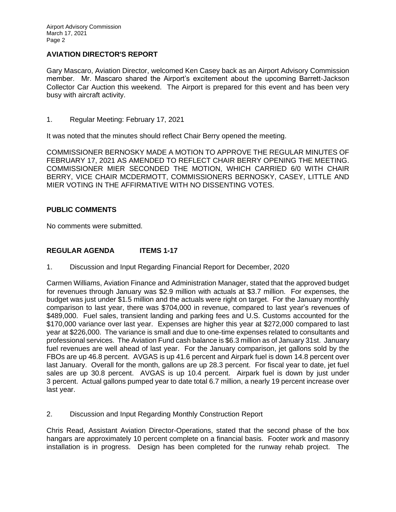#### **AVIATION DIRECTOR'S REPORT**

Gary Mascaro, Aviation Director, welcomed Ken Casey back as an Airport Advisory Commission member. Mr. Mascaro shared the Airport's excitement about the upcoming Barrett-Jackson Collector Car Auction this weekend. The Airport is prepared for this event and has been very busy with aircraft activity.

1. Regular Meeting: February 17, 2021

It was noted that the minutes should reflect Chair Berry opened the meeting.

COMMISSIONER BERNOSKY MADE A MOTION TO APPROVE THE REGULAR MINUTES OF FEBRUARY 17, 2021 AS AMENDED TO REFLECT CHAIR BERRY OPENING THE MEETING. COMMISSIONER MIER SECONDED THE MOTION, WHICH CARRIED 6/0 WITH CHAIR BERRY, VICE CHAIR MCDERMOTT, COMMISSIONERS BERNOSKY, CASEY, LITTLE AND MIER VOTING IN THE AFFIRMATIVE WITH NO DISSENTING VOTES.

## **PUBLIC COMMENTS**

No comments were submitted.

## **REGULAR AGENDA ITEMS 1-17**

1. Discussion and Input Regarding Financial Report for December, 2020

Carmen Williams, Aviation Finance and Administration Manager, stated that the approved budget for revenues through January was \$2.9 million with actuals at \$3.7 million. For expenses, the budget was just under \$1.5 million and the actuals were right on target. For the January monthly comparison to last year, there was \$704,000 in revenue, compared to last year's revenues of \$489,000. Fuel sales, transient landing and parking fees and U.S. Customs accounted for the \$170,000 variance over last year. Expenses are higher this year at \$272,000 compared to last year at \$226,000. The variance is small and due to one-time expenses related to consultants and professional services. The Aviation Fund cash balance is \$6.3 million as of January 31st. January fuel revenues are well ahead of last year. For the January comparison, jet gallons sold by the FBOs are up 46.8 percent. AVGAS is up 41.6 percent and Airpark fuel is down 14.8 percent over last January. Overall for the month, gallons are up 28.3 percent. For fiscal year to date, jet fuel sales are up 30.8 percent. AVGAS is up 10.4 percent. Airpark fuel is down by just under 3 percent. Actual gallons pumped year to date total 6.7 million, a nearly 19 percent increase over last year.

2. Discussion and Input Regarding Monthly Construction Report

Chris Read, Assistant Aviation Director-Operations, stated that the second phase of the box hangars are approximately 10 percent complete on a financial basis. Footer work and masonry installation is in progress. Design has been completed for the runway rehab project. The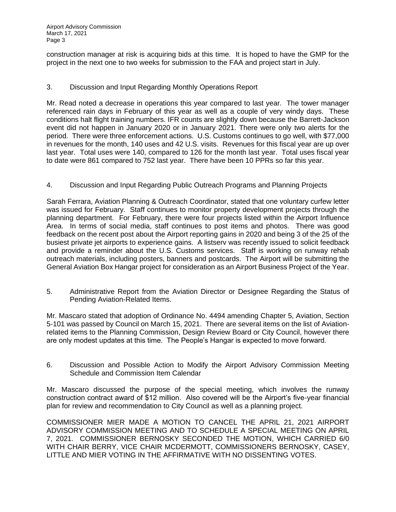construction manager at risk is acquiring bids at this time. It is hoped to have the GMP for the project in the next one to two weeks for submission to the FAA and project start in July.

## 3. Discussion and Input Regarding Monthly Operations Report

Mr. Read noted a decrease in operations this year compared to last year. The tower manager referenced rain days in February of this year as well as a couple of very windy days. These conditions halt flight training numbers. IFR counts are slightly down because the Barrett-Jackson event did not happen in January 2020 or in January 2021. There were only two alerts for the period. There were three enforcement actions. U.S. Customs continues to go well, with \$77,000 in revenues for the month, 140 uses and 42 U.S. visits. Revenues for this fiscal year are up over last year. Total uses were 140, compared to 126 for the month last year. Total uses fiscal year to date were 861 compared to 752 last year. There have been 10 PPRs so far this year.

4. Discussion and Input Regarding Public Outreach Programs and Planning Projects

Sarah Ferrara, Aviation Planning & Outreach Coordinator, stated that one voluntary curfew letter was issued for February. Staff continues to monitor property development projects through the planning department. For February, there were four projects listed within the Airport Influence Area. In terms of social media, staff continues to post items and photos. There was good feedback on the recent post about the Airport reporting gains in 2020 and being 3 of the 25 of the busiest private jet airports to experience gains. A listserv was recently issued to solicit feedback and provide a reminder about the U.S. Customs services. Staff is working on runway rehab outreach materials, including posters, banners and postcards. The Airport will be submitting the General Aviation Box Hangar project for consideration as an Airport Business Project of the Year.

5. Administrative Report from the Aviation Director or Designee Regarding the Status of Pending Aviation-Related Items.

Mr. Mascaro stated that adoption of Ordinance No. 4494 amending Chapter 5, Aviation, Section 5-101 was passed by Council on March 15, 2021. There are several items on the list of Aviationrelated items to the Planning Commission, Design Review Board or City Council, however there are only modest updates at this time. The People's Hangar is expected to move forward.

6. Discussion and Possible Action to Modify the Airport Advisory Commission Meeting Schedule and Commission Item Calendar

Mr. Mascaro discussed the purpose of the special meeting, which involves the runway construction contract award of \$12 million. Also covered will be the Airport's five-year financial plan for review and recommendation to City Council as well as a planning project.

COMMISSIONER MIER MADE A MOTION TO CANCEL THE APRIL 21, 2021 AIRPORT ADVISORY COMMISSION MEETING AND TO SCHEDULE A SPECIAL MEETING ON APRIL 7, 2021. COMMISSIONER BERNOSKY SECONDED THE MOTION, WHICH CARRIED 6/0 WITH CHAIR BERRY, VICE CHAIR MCDERMOTT, COMMISSIONERS BERNOSKY, CASEY, LITTLE AND MIER VOTING IN THE AFFIRMATIVE WITH NO DISSENTING VOTES.